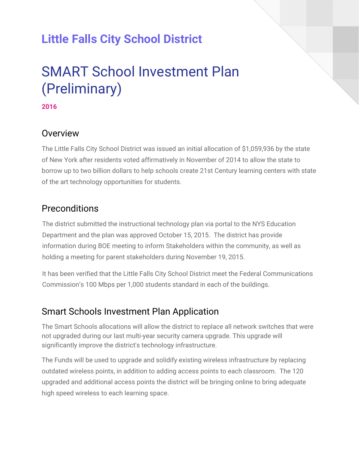## Little Falls City School District

# SMART School Investment Plan (Preliminary)

#### 2016

#### **Overview**

The Little Falls City School District was issued an initial allocation of \$1,059,936 by the state of New York after residents voted affirmatively in November of 2014 to allow the state to borrow up to two billion dollars to help schools create 21st Century learning centers with state of the art technology opportunities for students.

#### **Preconditions**

The district submitted the instructional technology plan via portal to the NYS Education Department and the plan was approved October 15, 2015. The district has provide information during BOE meeting to inform Stakeholders within the community, as well as holding a meeting for parent stakeholders during November 19, 2015.

It has been verified that the Little Falls City School District meet the Federal Communications Commission's 100 Mbps per 1,000 students standard in each of the buildings.

#### Smart Schools Investment Plan Application

The Smart Schools allocations will allow the district to replace all network switches that were not upgraded during our last multi-year security camera upgrade. This upgrade will significantly improve the district's technology infrastructure.

The Funds will be used to upgrade and solidify existing wireless infrastructure by replacing outdated wireless points, in addition to adding access points to each classroom. The 120 upgraded and additional access points the district will be bringing online to bring adequate high speed wireless to each learning space.